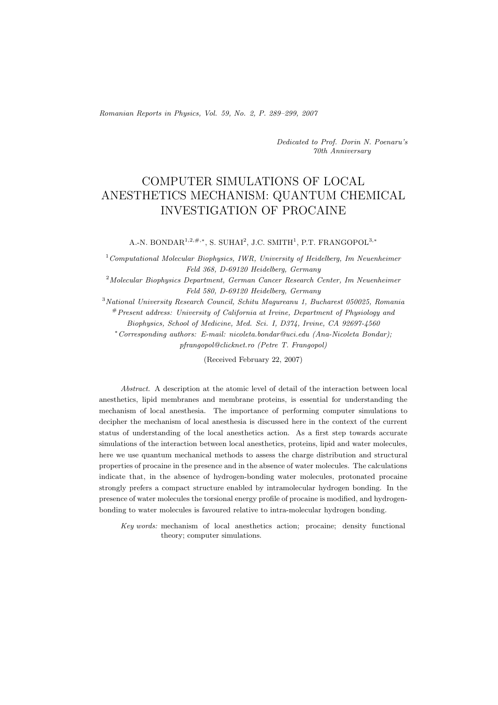Romanian Reports in Physics, Vol. 59, No. 2, P. 289–299, 2007

Dedicated to Prof. Dorin N. Poenaru's 70th Anniversary

# COMPUTER SIMULATIONS OF LOCAL ANESTHETICS MECHANISM: QUANTUM CHEMICAL INVESTIGATION OF PROCAINE

A.-N. BONDAR<sup>1</sup>*,*2*,*#*,*∗, S. SUHAI<sup>2</sup>, J.C. SMITH<sup>1</sup>, P.T. FRANGOPOL<sup>3</sup>*,*<sup>∗</sup>

<sup>1</sup> Computational Molecular Biophysics, IWR, University of Heidelberg, Im Neuenheimer Feld 368, D-69120 Heidelberg, Germany

<sup>2</sup>Molecular Biophysics Department, German Cancer Research Center, Im Neuenheimer Feld 580, D-69120 Heidelberg, Germany

<sup>3</sup>National University Research Council, Schitu Magureanu 1, Bucharest 050025, Romania #Present address: University of California at Irvine, Department of Physiology and

Biophysics, School of Medicine, Med. Sci. I, D374, Irvine, CA 92697-4560

<sup>∗</sup>Corresponding authors: E-mail: nicoleta.bondar@uci.edu (Ana-Nicoleta Bondar); pfrangopol@clicknet.ro (Petre T. Frangopol)

(Received February 22, 2007)

Abstract. A description at the atomic level of detail of the interaction between local anesthetics, lipid membranes and membrane proteins, is essential for understanding the mechanism of local anesthesia. The importance of performing computer simulations to decipher the mechanism of local anesthesia is discussed here in the context of the current status of understanding of the local anesthetics action. As a first step towards accurate simulations of the interaction between local anesthetics, proteins, lipid and water molecules, here we use quantum mechanical methods to assess the charge distribution and structural properties of procaine in the presence and in the absence of water molecules. The calculations indicate that, in the absence of hydrogen-bonding water molecules, protonated procaine strongly prefers a compact structure enabled by intramolecular hydrogen bonding. In the presence of water molecules the torsional energy profile of procaine is modified, and hydrogenbonding to water molecules is favoured relative to intra-molecular hydrogen bonding.

Key words: mechanism of local anesthetics action; procaine; density functional theory; computer simulations.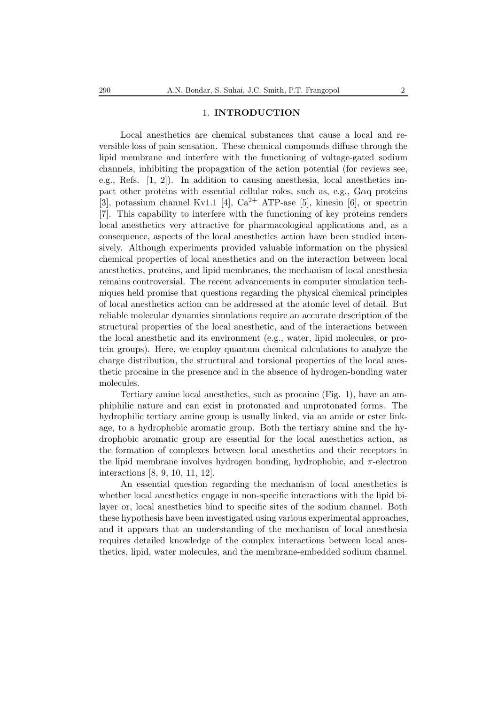### 1. **INTRODUCTION**

Local anesthetics are chemical substances that cause a local and reversible loss of pain sensation. These chemical compounds diffuse through the lipid membrane and interfere with the functioning of voltage-gated sodium channels, inhibiting the propagation of the action potential (for reviews see, e.g., Refs. [1, 2]). In addition to causing anesthesia, local anesthetics impact other proteins with essential cellular roles, such as, e.g., Gαq proteins [3], potassium channel Kv1.1 [4],  $Ca^{2+}$  ATP-ase [5], kinesin [6], or spectrin [7]. This capability to interfere with the functioning of key proteins renders local anesthetics very attractive for pharmacological applications and, as a consequence, aspects of the local anesthetics action have been studied intensively. Although experiments provided valuable information on the physical chemical properties of local anesthetics and on the interaction between local anesthetics, proteins, and lipid membranes, the mechanism of local anesthesia remains controversial. The recent advancements in computer simulation techniques held promise that questions regarding the physical chemical principles of local anesthetics action can be addressed at the atomic level of detail. But reliable molecular dynamics simulations require an accurate description of the structural properties of the local anesthetic, and of the interactions between the local anesthetic and its environment (e.g., water, lipid molecules, or protein groups). Here, we employ quantum chemical calculations to analyze the charge distribution, the structural and torsional properties of the local anesthetic procaine in the presence and in the absence of hydrogen-bonding water molecules.

Tertiary amine local anesthetics, such as procaine (Fig. 1), have an amphiphilic nature and can exist in protonated and unprotonated forms. The hydrophilic tertiary amine group is usually linked, via an amide or ester linkage, to a hydrophobic aromatic group. Both the tertiary amine and the hydrophobic aromatic group are essential for the local anesthetics action, as the formation of complexes between local anesthetics and their receptors in the lipid membrane involves hydrogen bonding, hydrophobic, and  $\pi$ -electron interactions [8, 9, 10, 11, 12].

An essential question regarding the mechanism of local anesthetics is whether local anesthetics engage in non-specific interactions with the lipid bilayer or, local anesthetics bind to specific sites of the sodium channel. Both these hypothesis have been investigated using various experimental approaches, and it appears that an understanding of the mechanism of local anesthesia requires detailed knowledge of the complex interactions between local anesthetics, lipid, water molecules, and the membrane-embedded sodium channel.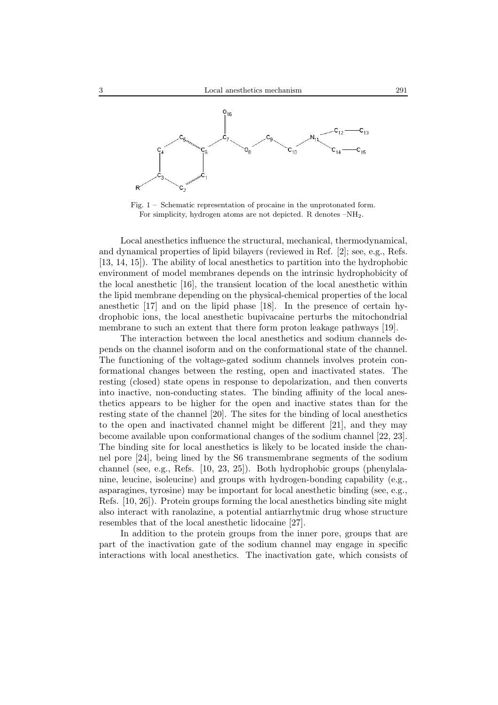

Fig. 1 – Schematic representation of procaine in the unprotonated form. For simplicity, hydrogen atoms are not depicted. R denotes –NH2.

Local anesthetics influence the structural, mechanical, thermodynamical, and dynamical properties of lipid bilayers (reviewed in Ref. [2]; see, e.g., Refs. [13, 14, 15]). The ability of local anesthetics to partition into the hydrophobic environment of model membranes depends on the intrinsic hydrophobicity of the local anesthetic [16], the transient location of the local anesthetic within the lipid membrane depending on the physical-chemical properties of the local anesthetic [17] and on the lipid phase [18]. In the presence of certain hydrophobic ions, the local anesthetic bupivacaine perturbs the mitochondrial membrane to such an extent that there form proton leakage pathways [19].

The interaction between the local anesthetics and sodium channels depends on the channel isoform and on the conformational state of the channel. The functioning of the voltage-gated sodium channels involves protein conformational changes between the resting, open and inactivated states. The resting (closed) state opens in response to depolarization, and then converts into inactive, non-conducting states. The binding affinity of the local anesthetics appears to be higher for the open and inactive states than for the resting state of the channel [20]. The sites for the binding of local anesthetics to the open and inactivated channel might be different [21], and they may become available upon conformational changes of the sodium channel [22, 23]. The binding site for local anesthetics is likely to be located inside the channel pore [24], being lined by the S6 transmembrane segments of the sodium channel (see, e.g., Refs. [10, 23, 25]). Both hydrophobic groups (phenylalanine, leucine, isoleucine) and groups with hydrogen-bonding capability (e.g., asparagines, tyrosine) may be important for local anesthetic binding (see, e.g., Refs. [10, 26]). Protein groups forming the local anesthetics binding site might also interact with ranolazine, a potential antiarrhytmic drug whose structure resembles that of the local anesthetic lidocaine [27].

In addition to the protein groups from the inner pore, groups that are part of the inactivation gate of the sodium channel may engage in specific interactions with local anesthetics. The inactivation gate, which consists of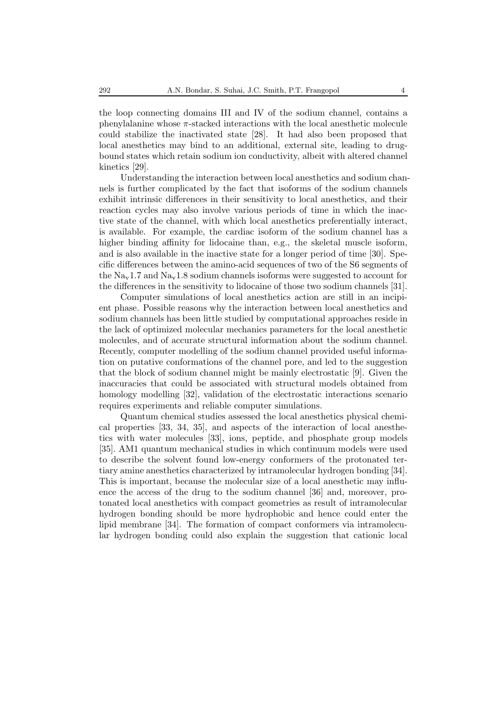the loop connecting domains III and IV of the sodium channel, contains a phenylalanine whose  $\pi$ -stacked interactions with the local anesthetic molecule could stabilize the inactivated state [28]. It had also been proposed that local anesthetics may bind to an additional, external site, leading to drugbound states which retain sodium ion conductivity, albeit with altered channel kinetics [29].

Understanding the interaction between local anesthetics and sodium channels is further complicated by the fact that isoforms of the sodium channels exhibit intrinsic differences in their sensitivity to local anesthetics, and their reaction cycles may also involve various periods of time in which the inactive state of the channel, with which local anesthetics preferentially interact, is available. For example, the cardiac isoform of the sodium channel has a higher binding affinity for lidocaine than, e.g., the skeletal muscle isoform, and is also available in the inactive state for a longer period of time [30]. Specific differences between the amino-acid sequences of two of the S6 segments of the  $\text{Na}_{\text{v}}1.7$  and  $\text{Na}_{\text{v}}1.8$  sodium channels isoforms were suggested to account for the differences in the sensitivity to lidocaine of those two sodium channels [31].

Computer simulations of local anesthetics action are still in an incipient phase. Possible reasons why the interaction between local anesthetics and sodium channels has been little studied by computational approaches reside in the lack of optimized molecular mechanics parameters for the local anesthetic molecules, and of accurate structural information about the sodium channel. Recently, computer modelling of the sodium channel provided useful information on putative conformations of the channel pore, and led to the suggestion that the block of sodium channel might be mainly electrostatic [9]. Given the inaccuracies that could be associated with structural models obtained from homology modelling [32], validation of the electrostatic interactions scenario requires experiments and reliable computer simulations.

Quantum chemical studies assessed the local anesthetics physical chemical properties [33, 34, 35], and aspects of the interaction of local anesthetics with water molecules [33], ions, peptide, and phosphate group models [35]. AM1 quantum mechanical studies in which continuum models were used to describe the solvent found low-energy conformers of the protonated tertiary amine anesthetics characterized by intramolecular hydrogen bonding [34]. This is important, because the molecular size of a local anesthetic may influence the access of the drug to the sodium channel [36] and, moreover, protonated local anesthetics with compact geometries as result of intramolecular hydrogen bonding should be more hydrophobic and hence could enter the lipid membrane [34]. The formation of compact conformers via intramolecular hydrogen bonding could also explain the suggestion that cationic local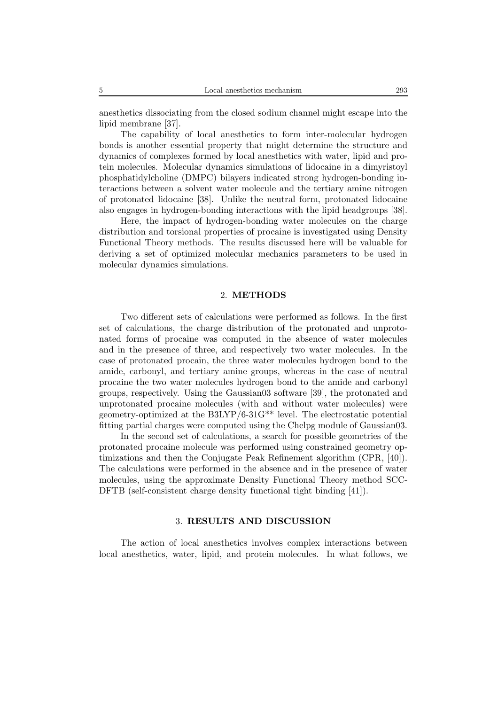anesthetics dissociating from the closed sodium channel might escape into the lipid membrane [37].

The capability of local anesthetics to form inter-molecular hydrogen bonds is another essential property that might determine the structure and dynamics of complexes formed by local anesthetics with water, lipid and protein molecules. Molecular dynamics simulations of lidocaine in a dimyristoyl phosphatidylcholine (DMPC) bilayers indicated strong hydrogen-bonding interactions between a solvent water molecule and the tertiary amine nitrogen of protonated lidocaine [38]. Unlike the neutral form, protonated lidocaine also engages in hydrogen-bonding interactions with the lipid headgroups [38].

Here, the impact of hydrogen-bonding water molecules on the charge distribution and torsional properties of procaine is investigated using Density Functional Theory methods. The results discussed here will be valuable for deriving a set of optimized molecular mechanics parameters to be used in molecular dynamics simulations.

#### 2. **METHODS**

Two different sets of calculations were performed as follows. In the first set of calculations, the charge distribution of the protonated and unprotonated forms of procaine was computed in the absence of water molecules and in the presence of three, and respectively two water molecules. In the case of protonated procain, the three water molecules hydrogen bond to the amide, carbonyl, and tertiary amine groups, whereas in the case of neutral procaine the two water molecules hydrogen bond to the amide and carbonyl groups, respectively. Using the Gaussian03 software [39], the protonated and unprotonated procaine molecules (with and without water molecules) were geometry-optimized at the B3LYP/6-31G\*\* level. The electrostatic potential fitting partial charges were computed using the Chelpg module of Gaussian03.

In the second set of calculations, a search for possible geometries of the protonated procaine molecule was performed using constrained geometry optimizations and then the Conjugate Peak Refinement algorithm (CPR, [40]). The calculations were performed in the absence and in the presence of water molecules, using the approximate Density Functional Theory method SCC-DFTB (self-consistent charge density functional tight binding [41]).

### 3. **RESULTS AND DISCUSSION**

The action of local anesthetics involves complex interactions between local anesthetics, water, lipid, and protein molecules. In what follows, we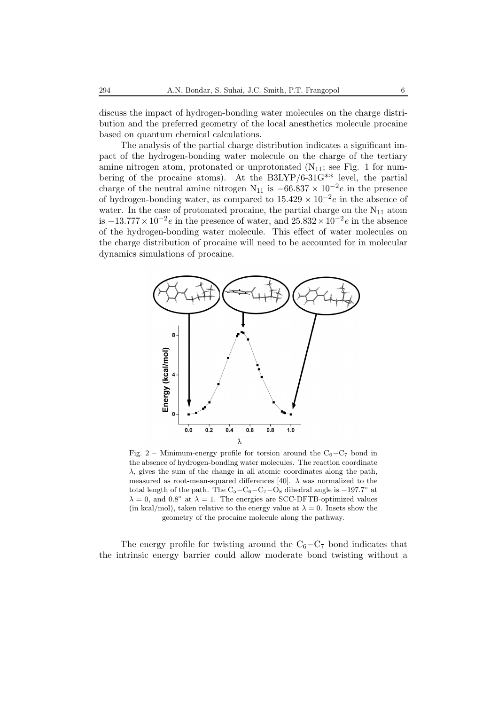discuss the impact of hydrogen-bonding water molecules on the charge distribution and the preferred geometry of the local anesthetics molecule procaine based on quantum chemical calculations.

The analysis of the partial charge distribution indicates a significant impact of the hydrogen-bonding water molecule on the charge of the tertiary amine nitrogen atom, protonated or unprotonated  $(N_{11};$  see Fig. 1 for numbering of the procaine atoms). At the B3LYP/6-31G\*\* level, the partial charge of the neutral amine nitrogen N<sub>11</sub> is  $-66.837 \times 10^{-2}e$  in the presence of hydrogen-bonding water, as compared to  $15.429 \times 10^{-2}e$  in the absence of water. In the case of protonated procaine, the partial charge on the  $N_{11}$  atom is  $-13.777 \times 10^{-2}e$  in the presence of water, and  $25.832 \times 10^{-2}e$  in the absence of the hydrogen-bonding water molecule. This effect of water molecules on the charge distribution of procaine will need to be accounted for in molecular dynamics simulations of procaine.



Fig. 2 – Minimum-energy profile for torsion around the  $C_6 - C_7$  bond in the absence of hydrogen-bonding water molecules. The reaction coordinate  $\lambda$ , gives the sum of the change in all atomic coordinates along the path, measured as root-mean-squared differences [40].  $\lambda$  was normalized to the total length of the path. The  $C_5-C_6-C_7-O_8$  dihedral angle is  $-197.7°$  at  $\lambda = 0$ , and  $0.8^\circ$  at  $\lambda = 1$ . The energies are SCC-DFTB-optimized values (in kcal/mol), taken relative to the energy value at  $\lambda = 0$ . Insets show the geometry of the procaine molecule along the pathway.

The energy profile for twisting around the  $C_6-C_7$  bond indicates that the intrinsic energy barrier could allow moderate bond twisting without a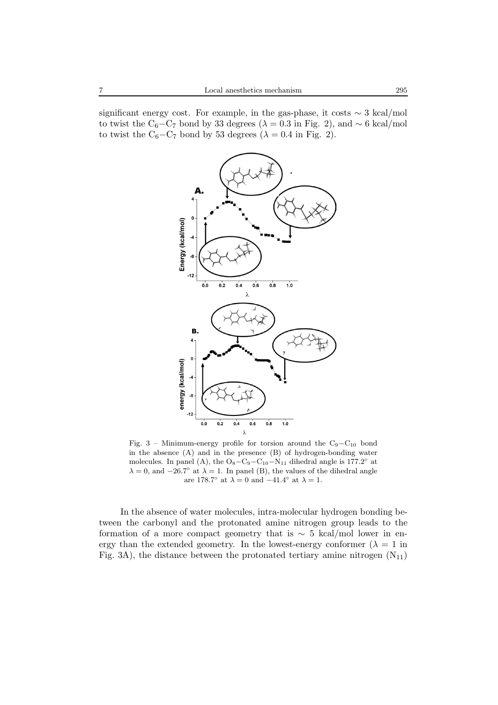significant energy cost. For example, in the gas-phase, it costs ∼ 3 kcal/mol to twist the C<sub>6</sub>−C<sub>7</sub> bond by 33 degrees ( $\lambda$  = 0.3 in Fig. 2), and ∼ 6 kcal/mol to twist the C<sub>6</sub> $-C_7$  bond by 53 degrees ( $\lambda = 0.4$  in Fig. 2).



Fig. 3 – Minimum-energy profile for torsion around the C9*−*C<sup>10</sup> bond in the absence (A) and in the presence (B) of hydrogen-bonding water molecules. In panel (A), the  $O_8-C_9-C_{10}-N_{11}$  dihedral angle is 177.2<sup>°</sup> at  $\lambda = 0$ , and  $-26.7°$  at  $\lambda = 1$ . In panel (B), the values of the dihedral angle are 178.7° at  $\lambda=0$  and  $-41.4^{\circ}$  at  $\lambda=1.$ 

In the absence of water molecules, intra-molecular hydrogen bonding between the carbonyl and the protonated amine nitrogen group leads to the formation of a more compact geometry that is  $\sim$  5 kcal/mol lower in energy than the extended geometry. In the lowest-energy conformer  $(\lambda = 1$  in Fig. 3A), the distance between the protonated tertiary amine nitrogen  $(N_{11})$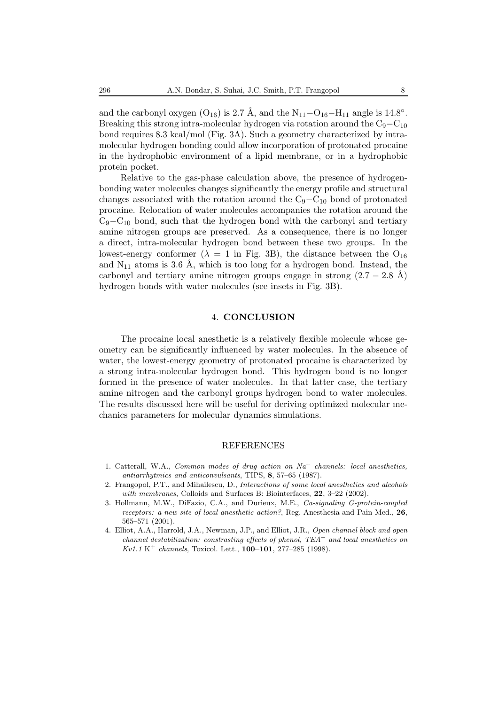and the carbonyl oxygen ( $O_{16}$ ) is 2.7 Å, and the  $N_{11}-O_{16}-H_{11}$  angle is 14.8°. Breaking this strong intra-molecular hydrogen via rotation around the  $C_9-C_{10}$ bond requires 8.3 kcal/mol (Fig. 3A). Such a geometry characterized by intramolecular hydrogen bonding could allow incorporation of protonated procaine in the hydrophobic environment of a lipid membrane, or in a hydrophobic protein pocket.

Relative to the gas-phase calculation above, the presence of hydrogenbonding water molecules changes significantly the energy profile and structural changes associated with the rotation around the  $C_9-C_{10}$  bond of protonated procaine. Relocation of water molecules accompanies the rotation around the C9−C<sup>10</sup> bond, such that the hydrogen bond with the carbonyl and tertiary amine nitrogen groups are preserved. As a consequence, there is no longer a direct, intra-molecular hydrogen bond between these two groups. In the lowest-energy conformer ( $\lambda = 1$  in Fig. 3B), the distance between the O<sub>16</sub> and  $N_{11}$  atoms is 3.6 Å, which is too long for a hydrogen bond. Instead, the carbonyl and tertiary amine nitrogen groups engage in strong  $(2.7 - 2.8 \text{ Å})$ hydrogen bonds with water molecules (see insets in Fig. 3B).

# 4. **CONCLUSION**

The procaine local anesthetic is a relatively flexible molecule whose geometry can be significantly influenced by water molecules. In the absence of water, the lowest-energy geometry of protonated procaine is characterized by a strong intra-molecular hydrogen bond. This hydrogen bond is no longer formed in the presence of water molecules. In that latter case, the tertiary amine nitrogen and the carbonyl groups hydrogen bond to water molecules. The results discussed here will be useful for deriving optimized molecular mechanics parameters for molecular dynamics simulations.

# REFERENCES

- 1. Catterall, W.A., Common modes of drug action on  $Na<sup>+</sup>$  channels: local anesthetics, antiarrhytmics and anticonvulsants, TIPS, **8**, 57–65 (1987).
- 2. Frangopol, P.T., and Mihailescu, D., Interactions of some local anesthetics and alcohols with membranes, Colloids and Surfaces B: Biointerfaces, **22**, 3-22 (2002).
- 3. Hollmann, M.W., DiFazio, C.A., and Durieux, M.E., Ca-signaling G-protein-coupled receptors: a new site of local anesthetic action?, Reg. Anesthesia and Pain Med., **26**, 565–571 (2001).
- 4. Elliot, A.A., Harrold, J.A., Newman, J.P., and Elliot, J.R., Open channel block and open channel destabilization: constrasting effects of phenol,  $TEA^+$  and local anesthetics on Kv1.1 K<sup>+</sup> channels, Toxicol. Lett., **100–101**, 277–285 (1998).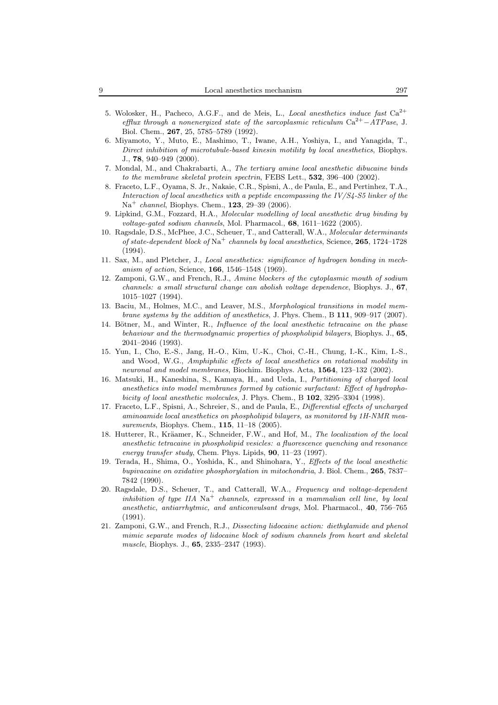- 5. Wolosker, H., Pacheco, A.G.F., and de Meis, L., Local anesthetics induce fast  $Ca^{2+}$ efflux through a nonenergized state of the sarcoplasmic reticulum Ca2+*−*ATPase, J. Biol. Chem., **267**, 25, 5785–5789 (1992).
- 6. Miyamoto, Y., Muto, E., Mashimo, T., Iwane, A.H., Yoshiya, I., and Yanagida, T., Direct inhibition of microtubule-based kinesin motility by local anesthetics, Biophys. J., **78**, 940–949 (2000).
- 7. Mondal, M., and Chakrabarti, A., The tertiary amine local anesthetic dibucaine binds to the membrane skeletal protein spectrin, FEBS Lett., **532**, 396–400 (2002).
- 8. Fraceto, L.F., Oyama, S. Jr., Nakaie, C.R., Spisni, A., de Paula, E., and Pertinhez, T.A., Interaction of local anesthetics with a peptide encompassing the IV/S4-S5 linker of the Na<sup>+</sup> channel, Biophys. Chem., **123**, 29–39 (2006).
- 9. Lipkind, G.M., Fozzard, H.A., Molecular modelling of local anesthetic drug binding by voltage-gated sodium channels, Mol. Pharmacol., **68**, 1611–1622 (2005).
- 10. Ragsdale, D.S., McPhee, J.C., Scheuer, T., and Catterall, W.A., Molecular determinants of state-dependent block of Na<sup>+</sup> channels by local anesthetics, Science, **265**, 1724–1728 (1994).
- 11. Sax, M., and Pletcher, J., Local anesthetics: significance of hydrogen bonding in mechanism of action, Science, **166**, 1546–1548 (1969).
- 12. Zamponi, G.W., and French, R.J., Amine blockers of the cytoplasmic mouth of sodium channels: a small structural change can abolish voltage dependence, Biophys. J., **67**, 1015–1027 (1994).
- 13. Baciu, M., Holmes, M.C., and Leaver, M.S., Morphological transitions in model membrane systems by the addition of anesthetics, J. Phys. Chem., B **111**, 909–917 (2007).
- 14. Bötner, M., and Winter, R., Influence of the local anesthetic tetracaine on the phase behaviour and the thermodynamic properties of phospholipid bilayers, Biophys. J., **65**, 2041–2046 (1993).
- 15. Yun, I., Cho, E.-S., Jang, H.-O., Kim, U.-K., Choi, C.-H., Chung, I.-K., Kim, I.-S., and Wood, W.G., Amphiphilic effects of local anesthetics on rotational mobility in neuronal and model membranes, Biochim. Biophys. Acta, **1564**, 123–132 (2002).
- 16. Matsuki, H., Kaneshina, S., Kamaya, H., and Ueda, I., Partitioning of charged local anesthetics into model membranes formed by cationic surfactant: Effect of hydrophobicity of local anesthetic molecules, J. Phys. Chem., B **102**, 3295–3304 (1998).
- 17. Fraceto, L.F., Spisni, A., Schreier, S., and de Paula, E., Differential effects of uncharged aminoamide local anesthetics on phospholipid bilayers, as monitored by 1H-NMR measurements, Biophys. Chem., **115**, 11–18 (2005).
- 18. Hutterer, R., Kräamer, K., Schneider, F.W., and Hof, M., The localization of the local anesthetic tetracaine in phospholipid vesicles: a fluorescence quenching and resonance energy transfer study, Chem. Phys. Lipids, **90**, 11–23 (1997).
- 19. Terada, H., Shima, O., Yoshida, K., and Shinohara, Y., Effects of the local anesthetic bupivacaine on oxidative phosphorylation in mitochondria, J. Biol. Chem., **265**, 7837– 7842 (1990).
- 20. Ragsdale, D.S., Scheuer, T., and Catterall, W.A., Frequency and voltage-dependent inhibition of type IIA  $\mathrm{Na}^+$  channels, expressed in a mammalian cell line, by local anesthetic, antiarrhytmic, and anticonvulsant drugs, Mol. Pharmacol., **40**, 756–765 (1991).
- 21. Zamponi, G.W., and French, R.J., Dissecting lidocaine action: diethylamide and phenol mimic separate modes of lidocaine block of sodium channels from heart and skeletal muscle, Biophys. J., **65**, 2335–2347 (1993).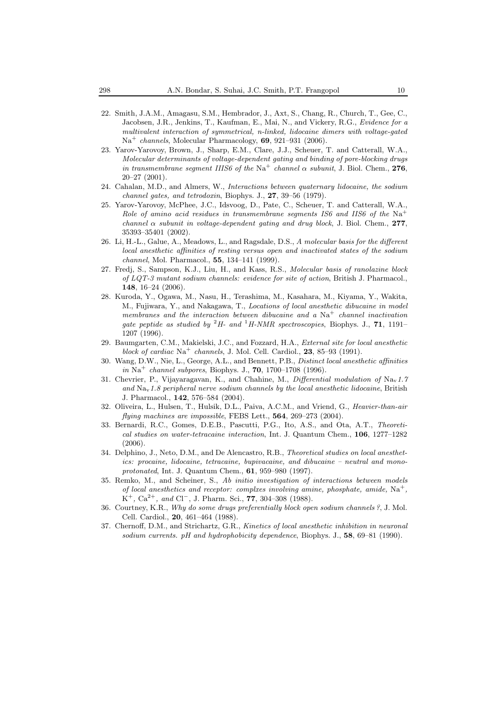- 22. Smith, J.A.M., Amagasu, S.M., Hembrador, J., Axt, S., Chang, R., Church, T., Gee, C., Jacobsen, J.R., Jenkins, T., Kaufman, E., Mai, N., and Vickery, R.G., Evidence for a multivalent interaction of symmetrical, n-linked, lidocaine dimers with voltage-gated Na<sup>+</sup> channels, Molecular Pharmacology, **69**, 921–931 (2006).
- 23. Yarov-Yarovoy, Brown, J., Sharp, E.M., Clare, J.J., Scheuer, T. and Catterall, W.A., Molecular determinants of voltage-dependent gating and binding of pore-blocking drugs in transmembrane segment IIIS6 of the Na<sup>+</sup> channel  $\alpha$  subunit, J. Biol. Chem., 276, 20–27 (2001).
- 24. Cahalan, M.D., and Almers, W., Interactions between quaternary lidocaine, the sodium channel gates, and tetrodoxin, Biophys. J., **27**, 39–56 (1979).
- 25. Yarov-Yarovoy, McPhee, J.C., Idsvoog, D., Pate, C., Scheuer, T. and Catterall, W.A., Role of amino acid residues in transmembrane segments IS6 and IIS6 of the Na<sup>+</sup> channel  $\alpha$  subunit in voltage-dependent gating and drug block, J. Biol. Chem., 277, 35393–35401 (2002).
- 26. Li, H.-L., Galue, A., Meadows, L., and Ragsdale, D.S., A molecular basis for the different local anesthetic affinities of resting versus open and inactivated states of the sodium channel, Mol. Pharmacol., **55**, 134–141 (1999).
- 27. Fredj, S., Sampson, K.J., Liu, H., and Kass, R.S., Molecular basis of ranolazine block of LQT-3 mutant sodium channels: evidence for site of action, British J. Pharmacol., **148**, 16–24 (2006).
- 28. Kuroda, Y., Ogawa, M., Nasu, H., Terashima, M., Kasahara, M., Kiyama, Y., Wakita, M., Fujiwara, Y., and Nakagawa, T., Locations of local anesthetic dibucaine in model membranes and the interaction between dibucaine and a  $\mathrm{Na}^+$  channel inactivation gate peptide as studied by  ${}^{2}H$ - and  ${}^{1}H$ -NMR spectroscopies, Biophys. J., **71**, 1191– 1207 (1996).
- 29. Baumgarten, C.M., Makielski, J.C., and Fozzard, H.A., External site for local anesthetic block of cardiac  $Na^+$  channels, J. Mol. Cell. Cardiol., **23**, 85–93 (1991).
- 30. Wang, D.W., Nie, L., George, A.L., and Bennett, P.B., Distinct local anesthetic affinities in Na<sup>+</sup> channel subpores, Biophys. J., **70**, 1700–1708 (1996).
- 31. Chevrier, P., Vijayaragavan, K., and Chahine, M., Differential modulation of  $\text{Na}_{\text{v}}1.7$ and  $\text{Na}_{\text{v}}$  1.8 peripheral nerve sodium channels by the local anesthetic lidocaine, British J. Pharmacol., **142**, 576–584 (2004).
- 32. Oliveira, L., Hulsen, T., Hulsik, D.L., Paiva, A.C.M., and Vriend, G., Heavier-than-air flying machines are impossible, FEBS Lett., **564**, 269–273 (2004).
- 33. Bernardi, R.C., Gomes, D.E.B., Pascutti, P.G., Ito, A.S., and Ota, A.T., Theoretical studies on water-tetracaine interaction, Int. J. Quantum Chem., **106**, 1277–1282 (2006).
- 34. Delphino, J., Neto, D.M., and De Alencastro, R.B., Theoretical studies on local anesthetics: procaine, lidocaine, tetracaine, bupivacaine, and dibucaine – neutral and monoprotonated, Int. J. Quantum Chem., **61**, 959–980 (1997).
- 35. Remko, M., and Scheiner, S., Ab initio investigation of interactions between models of local anesthetics and receptor: complxes involving amine, phosphate, amide,  $\text{Na}^+$ , K<sup>+</sup>, Ca2+, and Cl−, J. Pharm. Sci., **77**, 304–308 (1988).
- 36. Courtney, K.R., Why do some drugs preferentially block open sodium channels ?, J. Mol. Cell. Cardiol., **20**, 461–464 (1988).
- 37. Chernoff, D.M., and Strichartz, G.R., Kinetics of local anesthetic inhibition in neuronal sodium currents. pH and hydrophobicity dependence, Biophys. J., **58**, 69–81 (1990).